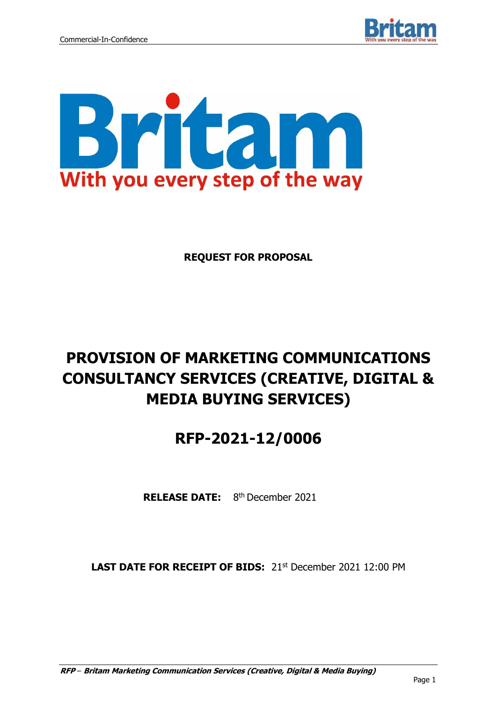



**REQUEST FOR PROPOSAL**

# **PROVISION OF MARKETING COMMUNICATIONS CONSULTANCY SERVICES (CREATIVE, DIGITAL & MEDIA BUYING SERVICES)**

# **RFP-2021-12/0006**

RELEASE DATE: 8<sup>th</sup> December 2021

**LAST DATE FOR RECEIPT OF BIDS:** 21st December 2021 12:00 PM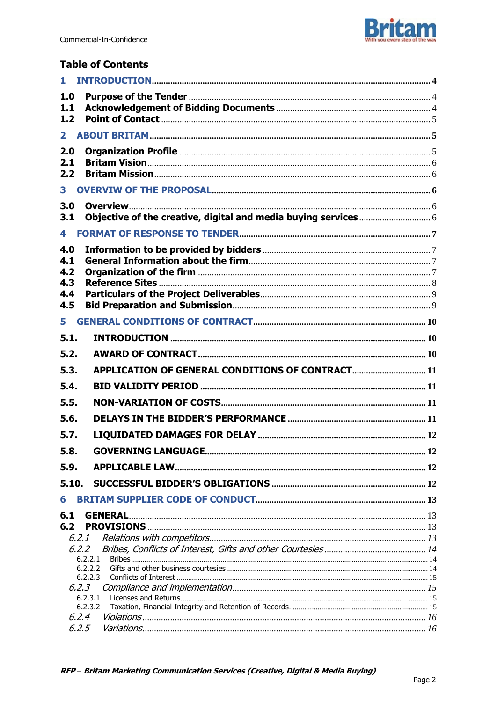

## **Table of Contents**

| 1.                 |                                                  |  |
|--------------------|--------------------------------------------------|--|
| 1.0                |                                                  |  |
| 1.1                |                                                  |  |
| 1.2                |                                                  |  |
| 2.                 |                                                  |  |
| 2.0                |                                                  |  |
| 2.1                |                                                  |  |
| 2.2                |                                                  |  |
| 3                  |                                                  |  |
| 3.0                |                                                  |  |
| 3.1                |                                                  |  |
| 4                  |                                                  |  |
| 4.0                |                                                  |  |
| 4.1                |                                                  |  |
| 4.2                |                                                  |  |
| 4.3                |                                                  |  |
| 4.4<br>4.5         |                                                  |  |
|                    |                                                  |  |
| 5                  |                                                  |  |
| 5.1.               |                                                  |  |
| 5.2.               |                                                  |  |
| 5.3.               | APPLICATION OF GENERAL CONDITIONS OF CONTRACT 11 |  |
| 5.4.               |                                                  |  |
| 5.5.               |                                                  |  |
| 5.6.               |                                                  |  |
| 5.7.               |                                                  |  |
| 5.8.               |                                                  |  |
| 5.9.               |                                                  |  |
| 5.10.              |                                                  |  |
| 6                  |                                                  |  |
| 6.1                | <b>GENERAL</b>                                   |  |
| 6.2                |                                                  |  |
| 6.2.1              |                                                  |  |
| 6.2.2              |                                                  |  |
| 6.2.2.1<br>6.2.2.2 |                                                  |  |
| 6.2.2.3            |                                                  |  |
| 6.2.3              |                                                  |  |
| 6.2.3.1<br>6.2.3.2 |                                                  |  |
| 6,2.4              |                                                  |  |
| 6.2.5              |                                                  |  |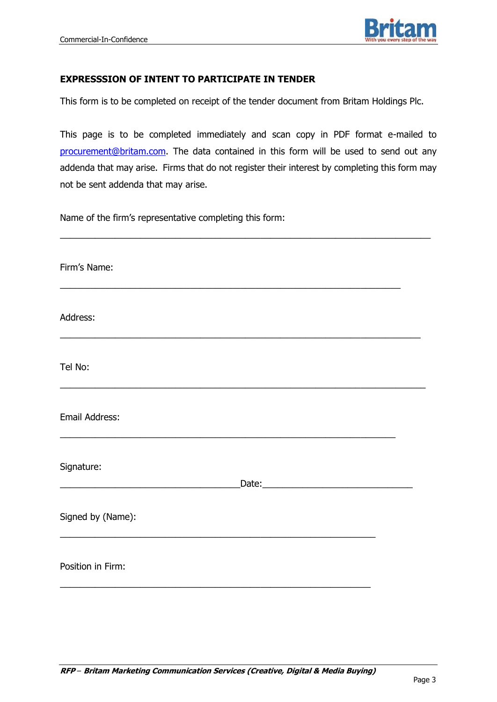

#### **EXPRESSSION OF INTENT TO PARTICIPATE IN TENDER**

This form is to be completed on receipt of the tender document from Britam Holdings Plc.

This page is to be completed immediately and scan copy in PDF format e-mailed to [procurement@britam.com.](mailto:procurement@britam.com) The data contained in this form will be used to send out any addenda that may arise. Firms that do not register their interest by completing this form may not be sent addenda that may arise.

\_\_\_\_\_\_\_\_\_\_\_\_\_\_\_\_\_\_\_\_\_\_\_\_\_\_\_\_\_\_\_\_\_\_\_\_\_\_\_\_\_\_\_\_\_\_\_\_\_\_\_\_\_\_\_\_\_\_\_\_\_\_\_\_\_\_\_\_\_\_\_\_\_\_

Name of the firm's representative completing this form:

| Firm's Name:      |  |
|-------------------|--|
| Address:          |  |
| Tel No:           |  |
| Email Address:    |  |
| Signature:        |  |
| Signed by (Name): |  |
| Position in Firm: |  |
|                   |  |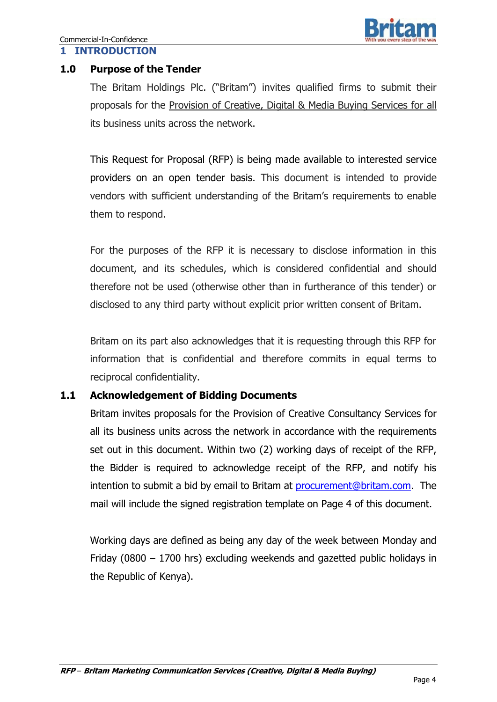## **1.0 Purpose of the Tender**

The Britam Holdings Plc. ("Britam") invites qualified firms to submit their proposals for the Provision of Creative, Digital & Media Buying Services for all its business units across the network.

This Request for Proposal (RFP) is being made available to interested service providers on an open tender basis. This document is intended to provide vendors with sufficient understanding of the Britam's requirements to enable them to respond.

For the purposes of the RFP it is necessary to disclose information in this document, and its schedules, which is considered confidential and should therefore not be used (otherwise other than in furtherance of this tender) or disclosed to any third party without explicit prior written consent of Britam.

Britam on its part also acknowledges that it is requesting through this RFP for information that is confidential and therefore commits in equal terms to reciprocal confidentiality.

#### **1.1 Acknowledgement of Bidding Documents**

Britam invites proposals for the Provision of Creative Consultancy Services for all its business units across the network in accordance with the requirements set out in this document. Within two (2) working days of receipt of the RFP, the Bidder is required to acknowledge receipt of the RFP, and notify his intention to submit a bid by email to Britam at [procurement@britam.com.](mailto:procurement@britam.com) The mail will include the signed registration template on Page 4 of this document.

Working days are defined as being any day of the week between Monday and Friday (0800 – 1700 hrs) excluding weekends and gazetted public holidays in the Republic of Kenya).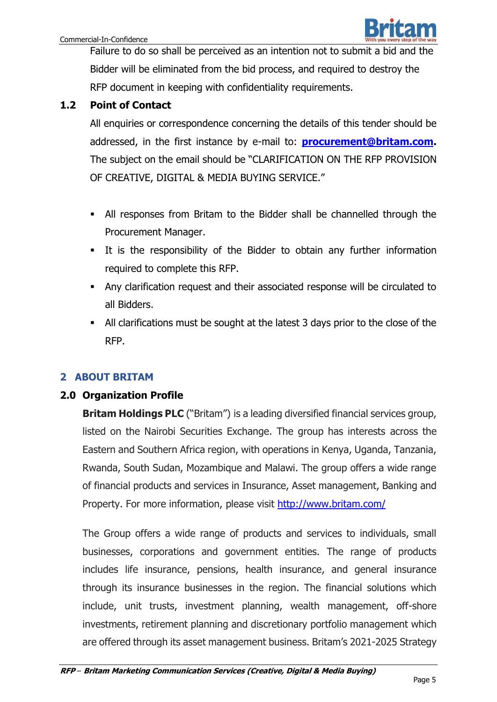

Failure to do so shall be perceived as an intention not to submit a bid and the Bidder will be eliminated from the bid process, and required to destroy the RFP document in keeping with confidentiality requirements.

## **1.2 Point of Contact**

All enquiries or correspondence concerning the details of this tender should be addressed, in the first instance by e-mail to: **[procurement@britam.com.](mailto:procurement@britam.com)**  The subject on the email should be "CLARIFICATION ON THE RFP PROVISION OF CREATIVE, DIGITAL & MEDIA BUYING SERVICE."

- All responses from Britam to the Bidder shall be channelled through the Procurement Manager.
- It is the responsibility of the Bidder to obtain any further information required to complete this RFP.
- Any clarification request and their associated response will be circulated to all Bidders.
- All clarifications must be sought at the latest 3 days prior to the close of the RFP.

## **2 ABOUT BRITAM**

#### **2.0 Organization Profile**

**Britam Holdings PLC** ("Britam") is a leading diversified financial services group, listed on the Nairobi Securities Exchange. The group has interests across the Eastern and Southern Africa region, with operations in Kenya, Uganda, Tanzania, Rwanda, South Sudan, Mozambique and Malawi. The group offers a wide range of financial products and services in Insurance, Asset management, Banking and Property. For more information, please visit <http://www.britam.com/>

The Group offers a wide range of products and services to individuals, small businesses, corporations and government entities. The range of products includes life insurance, pensions, health insurance, and general insurance through its insurance businesses in the region. The financial solutions which include, unit trusts, investment planning, wealth management, off-shore investments, retirement planning and discretionary portfolio management which are offered through its asset management business. Britam's 2021-2025 Strategy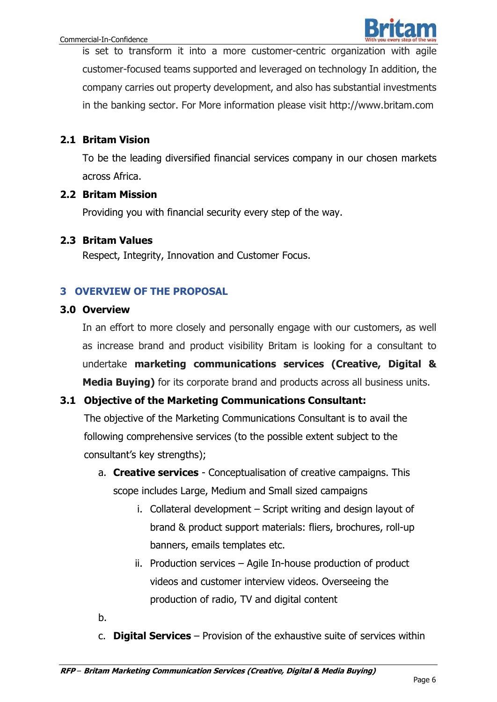

is set to transform it into a more customer-centric organization with agile customer-focused teams supported and leveraged on technology In addition, the company carries out property development, and also has substantial investments in the banking sector. For More information please visit [ht](http://www.britam.co.ke/)tp://www.britam.com

## **2.1 Britam Vision**

To be the leading diversified financial services company in our chosen markets across Africa.

## **2.2 Britam Mission**

Providing you with financial security every step of the way.

## **2.3 Britam Values**

Respect, Integrity, Innovation and Customer Focus.

## **3 OVERVIEW OF THE PROPOSAL**

## **3.0 Overview**

In an effort to more closely and personally engage with our customers, as well as increase brand and product visibility Britam is looking for a consultant to undertake **marketing communications services (Creative, Digital & Media Buying)** for its corporate brand and products across all business units.

## **3.1 Objective of the Marketing Communications Consultant:**

The objective of the Marketing Communications Consultant is to avail the following comprehensive services (to the possible extent subject to the consultant's key strengths);

- a. **Creative services** Conceptualisation of creative campaigns. This scope includes Large, Medium and Small sized campaigns
	- i. Collateral development Script writing and design layout of brand & product support materials: fliers, brochures, roll-up banners, emails templates etc.
	- ii. Production services Agile In-house production of product videos and customer interview videos. Overseeing the production of radio, TV and digital content
- b.
- c. **Digital Services**  Provision of the exhaustive suite of services within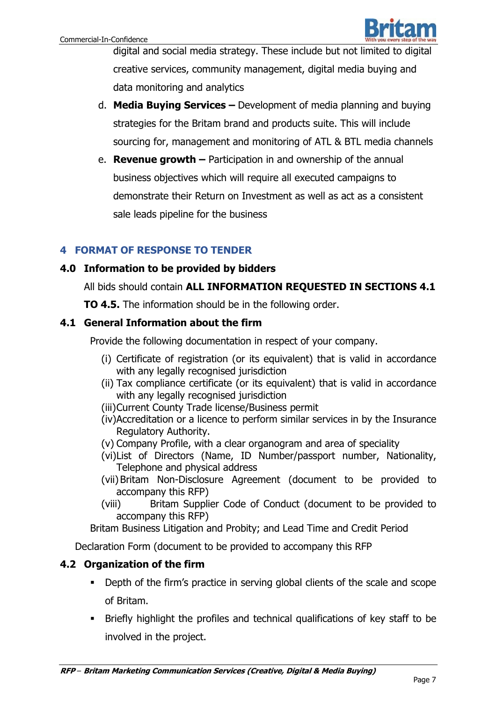

digital and social media strategy. These include but not limited to digital creative services, community management, digital media buying and data monitoring and analytics

- d. **Media Buying Services –** Development of media planning and buying strategies for the Britam brand and products suite. This will include sourcing for, management and monitoring of ATL & BTL media channels
- e. **Revenue growth –** Participation in and ownership of the annual business objectives which will require all executed campaigns to demonstrate their Return on Investment as well as act as a consistent sale leads pipeline for the business

## **4 FORMAT OF RESPONSE TO TENDER**

## **4.0 Information to be provided by bidders**

All bids should contain **ALL INFORMATION REQUESTED IN SECTIONS 4.1** 

**TO 4.5.** The information should be in the following order.

## **4.1 General Information about the firm**

Provide the following documentation in respect of your company.

- (i) Certificate of registration (or its equivalent) that is valid in accordance with any legally recognised jurisdiction
- (ii) Tax compliance certificate (or its equivalent) that is valid in accordance with any legally recognised jurisdiction
- (iii)Current County Trade license/Business permit
- (iv)Accreditation or a licence to perform similar services in by the Insurance Regulatory Authority.
- (v) Company Profile, with a clear organogram and area of speciality
- (vi)List of Directors (Name, ID Number/passport number, Nationality, Telephone and physical address
- (vii) Britam Non-Disclosure Agreement (document to be provided to accompany this RFP)
- (viii) Britam Supplier Code of Conduct (document to be provided to accompany this RFP)

Britam Business Litigation and Probity; and Lead Time and Credit Period

Declaration Form (document to be provided to accompany this RFP

## **4.2 Organization of the firm**

- Depth of the firm's practice in serving global clients of the scale and scope of Britam.
- Briefly highlight the profiles and technical qualifications of key staff to be involved in the project.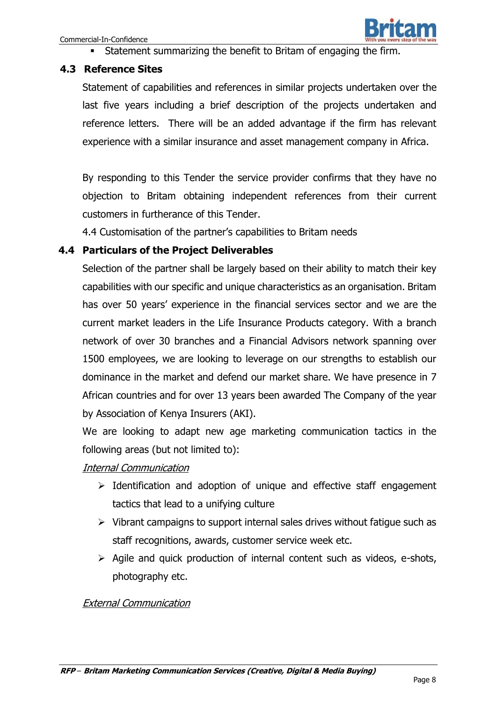

Statement summarizing the benefit to Britam of engaging the firm.

#### **4.3 Reference Sites**

Statement of capabilities and references in similar projects undertaken over the last five years including a brief description of the projects undertaken and reference letters. There will be an added advantage if the firm has relevant experience with a similar insurance and asset management company in Africa.

By responding to this Tender the service provider confirms that they have no objection to Britam obtaining independent references from their current customers in furtherance of this Tender.

4.4 Customisation of the partner's capabilities to Britam needs

#### **4.4 Particulars of the Project Deliverables**

Selection of the partner shall be largely based on their ability to match their key capabilities with our specific and unique characteristics as an organisation. Britam has over 50 years' experience in the financial services sector and we are the current market leaders in the Life Insurance Products category. With a branch network of over 30 branches and a Financial Advisors network spanning over 1500 employees, we are looking to leverage on our strengths to establish our dominance in the market and defend our market share. We have presence in 7 African countries and for over 13 years been awarded The Company of the year by Association of Kenya Insurers (AKI).

We are looking to adapt new age marketing communication tactics in the following areas (but not limited to):

#### Internal Communication

- $\triangleright$  Identification and adoption of unique and effective staff engagement tactics that lead to a unifying culture
- $\triangleright$  Vibrant campaigns to support internal sales drives without fatigue such as staff recognitions, awards, customer service week etc.
- $\triangleright$  Agile and quick production of internal content such as videos, e-shots, photography etc.

#### External Communication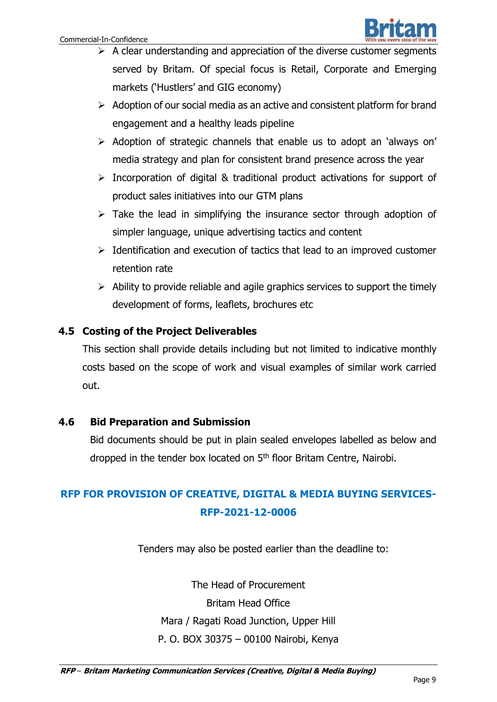- $\triangleright$  A clear understanding and appreciation of the diverse customer segments served by Britam. Of special focus is Retail, Corporate and Emerging markets ('Hustlers' and GIG economy)
- $\triangleright$  Adoption of our social media as an active and consistent platform for brand engagement and a healthy leads pipeline
- $\triangleright$  Adoption of strategic channels that enable us to adopt an 'always on' media strategy and plan for consistent brand presence across the year
- $\triangleright$  Incorporation of digital & traditional product activations for support of product sales initiatives into our GTM plans
- $\triangleright$  Take the lead in simplifying the insurance sector through adoption of simpler language, unique advertising tactics and content
- $\triangleright$  Identification and execution of tactics that lead to an improved customer retention rate
- $\triangleright$  Ability to provide reliable and agile graphics services to support the timely development of forms, leaflets, brochures etc

## **4.5 Costing of the Project Deliverables**

This section shall provide details including but not limited to indicative monthly costs based on the scope of work and visual examples of similar work carried out.

#### **4.6 Bid Preparation and Submission**

Bid documents should be put in plain sealed envelopes labelled as below and dropped in the tender box located on 5<sup>th</sup> floor Britam Centre, Nairobi.

# **RFP FOR PROVISION OF CREATIVE, DIGITAL & MEDIA BUYING SERVICES-RFP-2021-12-0006**

Tenders may also be posted earlier than the deadline to:

The Head of Procurement Britam Head Office Mara / Ragati Road Junction, Upper Hill P. O. BOX 30375 – 00100 Nairobi, Kenya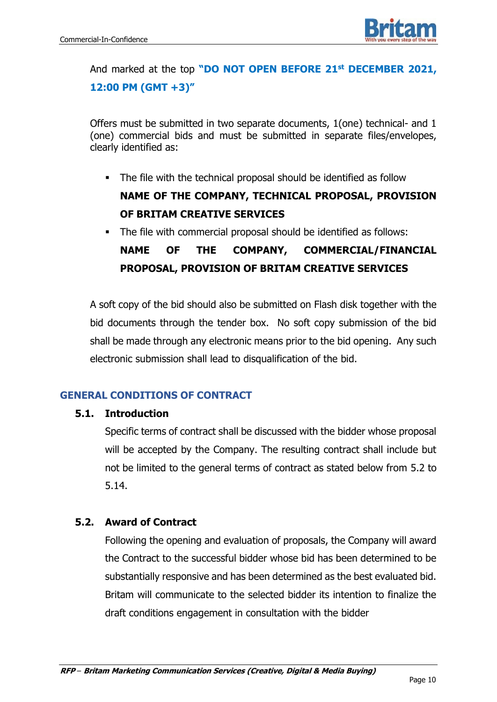

And marked at the top **"DO NOT OPEN BEFORE 21st DECEMBER 2021, 12:00 PM (GMT +3)"**

Offers must be submitted in two separate documents, 1(one) technical- and 1 (one) commercial bids and must be submitted in separate files/envelopes, clearly identified as:

- The file with the technical proposal should be identified as follow **NAME OF THE COMPANY, TECHNICAL PROPOSAL, PROVISION OF BRITAM CREATIVE SERVICES**
- The file with commercial proposal should be identified as follows: **NAME OF THE COMPANY, COMMERCIAL/FINANCIAL PROPOSAL, PROVISION OF BRITAM CREATIVE SERVICES**

A soft copy of the bid should also be submitted on Flash disk together with the bid documents through the tender box. No soft copy submission of the bid shall be made through any electronic means prior to the bid opening. Any such electronic submission shall lead to disqualification of the bid.

## **GENERAL CONDITIONS OF CONTRACT**

#### **5.1. Introduction**

Specific terms of contract shall be discussed with the bidder whose proposal will be accepted by the Company. The resulting contract shall include but not be limited to the general terms of contract as stated below from 5.2 to 5.14.

#### **5.2. Award of Contract**

Following the opening and evaluation of proposals, the Company will award the Contract to the successful bidder whose bid has been determined to be substantially responsive and has been determined as the best evaluated bid. Britam will communicate to the selected bidder its intention to finalize the draft conditions engagement in consultation with the bidder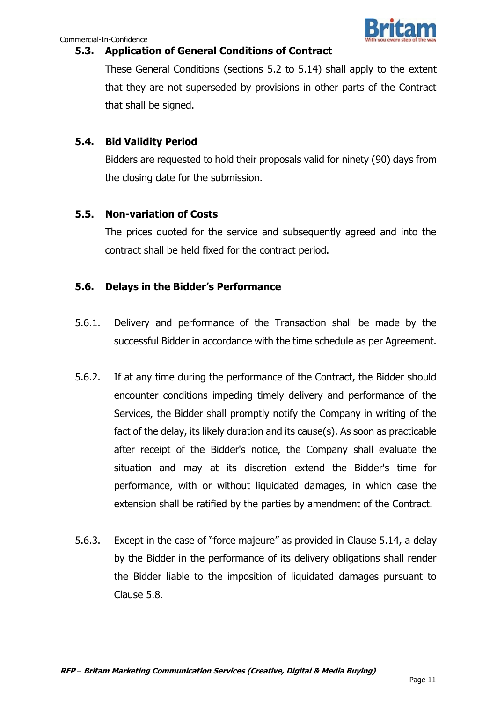## **5.3. Application of General Conditions of Contract**

These General Conditions (sections 5.2 to 5.14) shall apply to the extent that they are not superseded by provisions in other parts of the Contract that shall be signed.

## **5.4. Bid Validity Period**

Bidders are requested to hold their proposals valid for ninety (90) days from the closing date for the submission.

## **5.5. Non-variation of Costs**

The prices quoted for the service and subsequently agreed and into the contract shall be held fixed for the contract period.

## **5.6. Delays in the Bidder's Performance**

- 5.6.1. Delivery and performance of the Transaction shall be made by the successful Bidder in accordance with the time schedule as per Agreement.
- 5.6.2. If at any time during the performance of the Contract, the Bidder should encounter conditions impeding timely delivery and performance of the Services, the Bidder shall promptly notify the Company in writing of the fact of the delay, its likely duration and its cause(s). As soon as practicable after receipt of the Bidder's notice, the Company shall evaluate the situation and may at its discretion extend the Bidder's time for performance, with or without liquidated damages, in which case the extension shall be ratified by the parties by amendment of the Contract.
- 5.6.3. Except in the case of "force majeure" as provided in Clause 5.14, a delay by the Bidder in the performance of its delivery obligations shall render the Bidder liable to the imposition of liquidated damages pursuant to Clause 5.8.

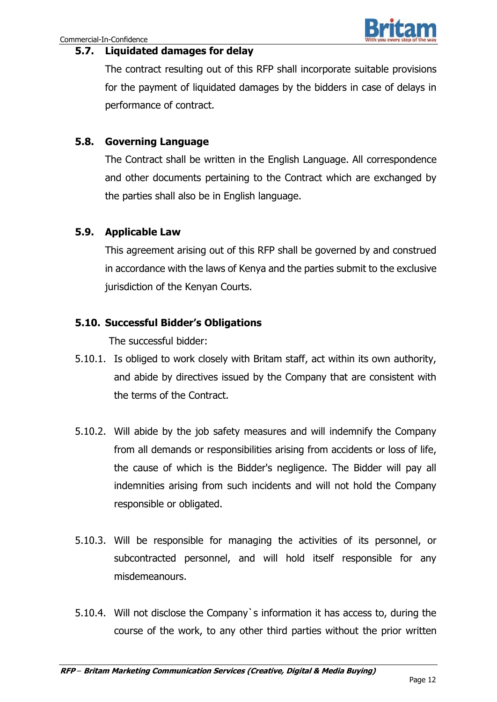#### **5.7. Liquidated damages for delay**

The contract resulting out of this RFP shall incorporate suitable provisions for the payment of liquidated damages by the bidders in case of delays in performance of contract.

## **5.8. Governing Language**

The Contract shall be written in the English Language. All correspondence and other documents pertaining to the Contract which are exchanged by the parties shall also be in English language.

## **5.9. Applicable Law**

This agreement arising out of this RFP shall be governed by and construed in accordance with the laws of Kenya and the parties submit to the exclusive jurisdiction of the Kenyan Courts.

## **5.10. Successful Bidder's Obligations**

The successful bidder:

- 5.10.1. Is obliged to work closely with Britam staff, act within its own authority, and abide by directives issued by the Company that are consistent with the terms of the Contract.
- 5.10.2. Will abide by the job safety measures and will indemnify the Company from all demands or responsibilities arising from accidents or loss of life, the cause of which is the Bidder's negligence. The Bidder will pay all indemnities arising from such incidents and will not hold the Company responsible or obligated.
- 5.10.3. Will be responsible for managing the activities of its personnel, or subcontracted personnel, and will hold itself responsible for any misdemeanours.
- 5.10.4. Will not disclose the Company`s information it has access to, during the course of the work, to any other third parties without the prior written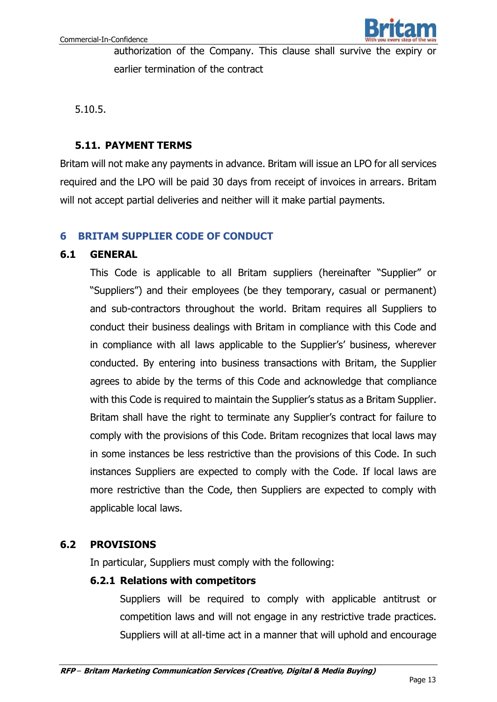

authorization of the Company. This clause shall survive the expiry or earlier termination of the contract

5.10.5.

### **5.11. PAYMENT TERMS**

Britam will not make any payments in advance. Britam will issue an LPO for all services required and the LPO will be paid 30 days from receipt of invoices in arrears. Britam will not accept partial deliveries and neither will it make partial payments.

## **6 BRITAM SUPPLIER CODE OF CONDUCT**

#### **6.1 GENERAL**

This Code is applicable to all Britam suppliers (hereinafter "Supplier" or "Suppliers") and their employees (be they temporary, casual or permanent) and sub-contractors throughout the world. Britam requires all Suppliers to conduct their business dealings with Britam in compliance with this Code and in compliance with all laws applicable to the Supplier's' business, wherever conducted. By entering into business transactions with Britam, the Supplier agrees to abide by the terms of this Code and acknowledge that compliance with this Code is required to maintain the Supplier's status as a Britam Supplier. Britam shall have the right to terminate any Supplier's contract for failure to comply with the provisions of this Code. Britam recognizes that local laws may in some instances be less restrictive than the provisions of this Code. In such instances Suppliers are expected to comply with the Code. If local laws are more restrictive than the Code, then Suppliers are expected to comply with applicable local laws.

#### **6.2 PROVISIONS**

In particular, Suppliers must comply with the following:

#### **6.2.1 Relations with competitors**

Suppliers will be required to comply with applicable antitrust or competition laws and will not engage in any restrictive trade practices. Suppliers will at all-time act in a manner that will uphold and encourage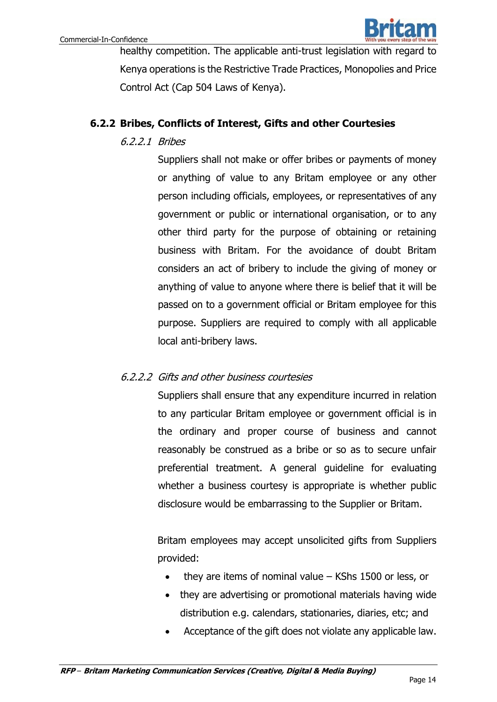

healthy competition. The applicable anti-trust legislation with regard to Kenya operations is the Restrictive Trade Practices, Monopolies and Price Control Act (Cap 504 Laws of Kenya).

## **6.2.2 Bribes, Conflicts of Interest, Gifts and other Courtesies**

## 6.2.2.1 Bribes

Suppliers shall not make or offer bribes or payments of money or anything of value to any Britam employee or any other person including officials, employees, or representatives of any government or public or international organisation, or to any other third party for the purpose of obtaining or retaining business with Britam. For the avoidance of doubt Britam considers an act of bribery to include the giving of money or anything of value to anyone where there is belief that it will be passed on to a government official or Britam employee for this purpose. Suppliers are required to comply with all applicable local anti-bribery laws.

## 6.2.2.2 Gifts and other business courtesies

Suppliers shall ensure that any expenditure incurred in relation to any particular Britam employee or government official is in the ordinary and proper course of business and cannot reasonably be construed as a bribe or so as to secure unfair preferential treatment. A general guideline for evaluating whether a business courtesy is appropriate is whether public disclosure would be embarrassing to the Supplier or Britam.

Britam employees may accept unsolicited gifts from Suppliers provided:

- they are items of nominal value KShs 1500 or less, or
- they are advertising or promotional materials having wide distribution e.g. calendars, stationaries, diaries, etc; and
- Acceptance of the gift does not violate any applicable law.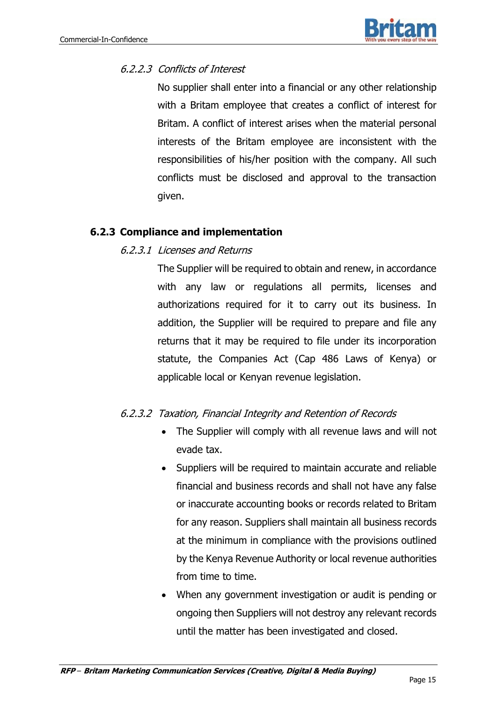## 6.2.2.3 Conflicts of Interest

No supplier shall enter into a financial or any other relationship with a Britam employee that creates a conflict of interest for Britam. A conflict of interest arises when the material personal interests of the Britam employee are inconsistent with the responsibilities of his/her position with the company. All such conflicts must be disclosed and approval to the transaction given.

# **6.2.3 Compliance and implementation**

## 6.2.3.1 Licenses and Returns

The Supplier will be required to obtain and renew, in accordance with any law or regulations all permits, licenses and authorizations required for it to carry out its business. In addition, the Supplier will be required to prepare and file any returns that it may be required to file under its incorporation statute, the Companies Act (Cap 486 Laws of Kenya) or applicable local or Kenyan revenue legislation.

## 6.2.3.2 Taxation, Financial Integrity and Retention of Records

- The Supplier will comply with all revenue laws and will not evade tax.
- Suppliers will be required to maintain accurate and reliable financial and business records and shall not have any false or inaccurate accounting books or records related to Britam for any reason. Suppliers shall maintain all business records at the minimum in compliance with the provisions outlined by the Kenya Revenue Authority or local revenue authorities from time to time.
- When any government investigation or audit is pending or ongoing then Suppliers will not destroy any relevant records until the matter has been investigated and closed.